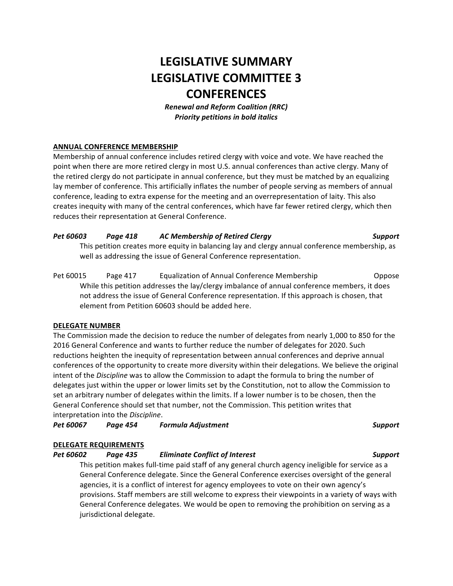# **LEGISLATIVE SUMMARY LEGISLATIVE COMMITTEE 3 CONFERENCES**

*Renewal and Reform Coalition (RRC) Priority petitions in bold italics*

## **ANNUAL CONFERENCE MEMBERSHIP**

Membership of annual conference includes retired clergy with voice and vote. We have reached the point when there are more retired clergy in most U.S. annual conferences than active clergy. Many of the retired clergy do not participate in annual conference, but they must be matched by an equalizing lay member of conference. This artificially inflates the number of people serving as members of annual conference, leading to extra expense for the meeting and an overrepresentation of laity. This also creates inequity with many of the central conferences, which have far fewer retired clergy, which then reduces their representation at General Conference.

## *Pet 60603 Page 418 AC Membership of Retired Clergy Support*

This petition creates more equity in balancing lay and clergy annual conference membership, as well as addressing the issue of General Conference representation.

Pet 60015 Page 417 Equalization of Annual Conference Membership Coppose While this petition addresses the lay/clergy imbalance of annual conference members, it does not address the issue of General Conference representation. If this approach is chosen, that element from Petition 60603 should be added here.

### **DELEGATE NUMBER**

The Commission made the decision to reduce the number of delegates from nearly 1,000 to 850 for the 2016 General Conference and wants to further reduce the number of delegates for 2020. Such reductions heighten the inequity of representation between annual conferences and deprive annual conferences of the opportunity to create more diversity within their delegations. We believe the original intent of the *Discipline* was to allow the Commission to adapt the formula to bring the number of delegates just within the upper or lower limits set by the Constitution, not to allow the Commission to set an arbitrary number of delegates within the limits. If a lower number is to be chosen, then the General Conference should set that number, not the Commission. This petition writes that interpretation into the *Discipline*.

*Pet 60067 Page 454 Formula Adjustment Support*

### **DELEGATE REQUIREMENTS**

## *Pet 60602 Page 435 Eliminate Conflict of Interest Support*

This petition makes full-time paid staff of any general church agency ineligible for service as a General Conference delegate. Since the General Conference exercises oversight of the general agencies, it is a conflict of interest for agency employees to vote on their own agency's provisions. Staff members are still welcome to express their viewpoints in a variety of ways with General Conference delegates. We would be open to removing the prohibition on serving as a jurisdictional delegate.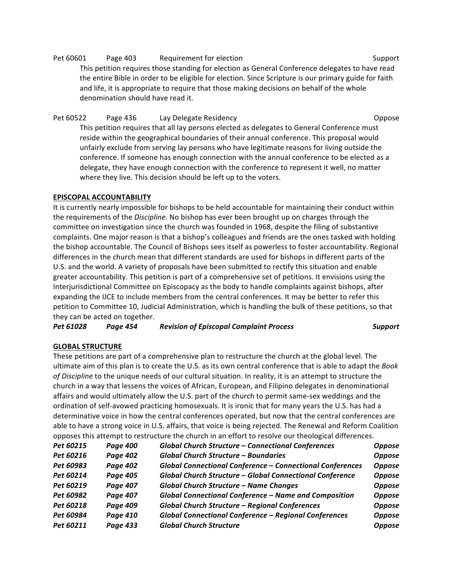# Pet 60601 Page 403 Requirement for election Network Channel Support

This petition requires those standing for election as General Conference delegates to have read the entire Bible in order to be eligible for election. Since Scripture is our primary guide for faith and life, it is appropriate to require that those making decisions on behalf of the whole denomination should have read it.

Pet 60522 Page 436 Lay Delegate Residency Charles Compose This petition requires that all lay persons elected as delegates to General Conference must reside within the geographical boundaries of their annual conference. This proposal would unfairly exclude from serving lay persons who have legitimate reasons for living outside the conference. If someone has enough connection with the annual conference to be elected as a delegate, they have enough connection with the conference to represent it well, no matter where they live. This decision should be left up to the voters.

## **EPISCOPAL ACCOUNTABILITY**

It is currently nearly impossible for bishops to be held accountable for maintaining their conduct within the requirements of the *Discipline*. No bishop has ever been brought up on charges through the committee on investigation since the church was founded in 1968, despite the filing of substantive complaints. One major reason is that a bishop's colleagues and friends are the ones tasked with holding the bishop accountable. The Council of Bishops sees itself as powerless to foster accountability. Regional differences in the church mean that different standards are used for bishops in different parts of the U.S. and the world. A variety of proposals have been submitted to rectify this situation and enable greater accountability. This petition is part of a comprehensive set of petitions. It envisions using the Interjurisdictional Committee on Episcopacy as the body to handle complaints against bishops, after expanding the IJCE to include members from the central conferences. It may be better to refer this petition to Committee 10, Judicial Administration, which is handling the bulk of these petitions, so that they can be acted on together.

*Pet 61028 Page 454 Revision of Episcopal Complaint Process Support*

## **GLOBAL STRUCTURE**

These petitions are part of a comprehensive plan to restructure the church at the global level. The ultimate aim of this plan is to create the U.S. as its own central conference that is able to adapt the *Book* of Discipline to the unique needs of our cultural situation. In reality, it is an attempt to structure the church in a way that lessens the voices of African, European, and Filipino delegates in denominational affairs and would ultimately allow the U.S. part of the church to permit same-sex weddings and the ordination of self-avowed practicing homosexuals. It is ironic that for many years the U.S. has had a determinative voice in how the central conferences operated, but now that the central conferences are able to have a strong voice in U.S. affairs, that voice is being rejected. The Renewal and Reform Coalition opposes this attempt to restructure the church in an effort to resolve our theological differences.

| Pet 60215 | <b>Page 400</b> | <b>Global Church Structure - Connectional Conferences</b>        | <b>Oppose</b> |
|-----------|-----------------|------------------------------------------------------------------|---------------|
| Pet 60216 | <b>Page 402</b> | <b>Global Church Structure - Boundaries</b>                      | <b>Oppose</b> |
| Pet 60983 | <b>Page 402</b> | <b>Global Connectional Conference - Connectional Conferences</b> | <b>Oppose</b> |
| Pet 60214 | <b>Page 405</b> | Global Church Structure - Global Connectional Conference         | <b>Oppose</b> |
| Pet 60219 | <b>Page 407</b> | <b>Global Church Structure - Name Changes</b>                    | <b>Oppose</b> |
| Pet 60982 | <b>Page 407</b> | Global Connectional Conference - Name and Composition            | <b>Oppose</b> |
| Pet 60218 | <b>Page 409</b> | <b>Global Church Structure - Regional Conferences</b>            | <b>Oppose</b> |
| Pet 60984 | <b>Page 410</b> | <b>Global Connectional Conference - Regional Conferences</b>     | <b>Oppose</b> |
| Pet 60211 | <b>Page 433</b> | <b>Global Church Structure</b>                                   | <b>Oppose</b> |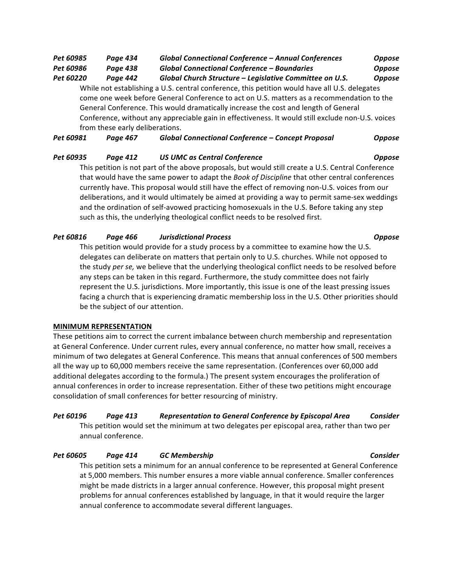# *Pet 60985 Page 434 Global Connectional Conference – Annual Conferences Oppose*

*Pet 60986 Page 438 Global Connectional Conference – Boundaries Oppose*

*Pet 60220 Page 442 Global Church Structure – Legislative Committee on U.S. Oppose* While not establishing a U.S. central conference, this petition would have all U.S. delegates

come one week before General Conference to act on U.S. matters as a recommendation to the General Conference. This would dramatically increase the cost and length of General Conference, without any appreciable gain in effectiveness. It would still exclude non-U.S. voices from these early deliberations.

*Pet 60981 Page 467 Global Connectional Conference – Concept Proposal Oppose*

## *Pet 60935 Page 412 US UMC as Central Conference Oppose*

This petition is not part of the above proposals, but would still create a U.S. Central Conference that would have the same power to adapt the *Book of Discipline* that other central conferences currently have. This proposal would still have the effect of removing non-U.S. voices from our deliberations, and it would ultimately be aimed at providing a way to permit same-sex weddings and the ordination of self-avowed practicing homosexuals in the U.S. Before taking any step such as this, the underlying theological conflict needs to be resolved first.

## *Pet 60816 Page 466 Jurisdictional Process Oppose*

This petition would provide for a study process by a committee to examine how the U.S. delegates can deliberate on matters that pertain only to U.S. churches. While not opposed to the study *per se*, we believe that the underlying theological conflict needs to be resolved before any steps can be taken in this regard. Furthermore, the study committee does not fairly represent the U.S. jurisdictions. More importantly, this issue is one of the least pressing issues facing a church that is experiencing dramatic membership loss in the U.S. Other priorities should be the subject of our attention.

## **MINIMUM REPRESENTATION**

These petitions aim to correct the current imbalance between church membership and representation at General Conference. Under current rules, every annual conference, no matter how small, receives a minimum of two delegates at General Conference. This means that annual conferences of 500 members all the way up to 60,000 members receive the same representation. (Conferences over 60,000 add additional delegates according to the formula.) The present system encourages the proliferation of annual conferences in order to increase representation. Either of these two petitions might encourage consolidation of small conferences for better resourcing of ministry.

*Pet 60196 Page 413 Representation to General Conference by Episcopal Area Consider* This petition would set the minimum at two delegates per episcopal area, rather than two per annual conference.

## *Pet 60605 Page 414 GC Membership Consider*

This petition sets a minimum for an annual conference to be represented at General Conference at 5,000 members. This number ensures a more viable annual conference. Smaller conferences might be made districts in a larger annual conference. However, this proposal might present problems for annual conferences established by language, in that it would require the larger annual conference to accommodate several different languages.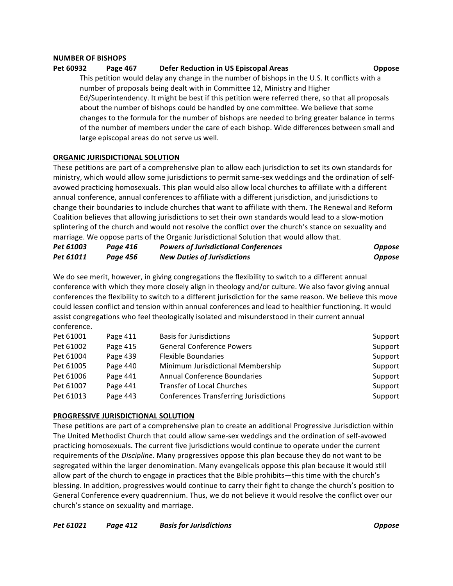### **NUMBER OF BISHOPS**

#### **Pet 60932 Page 467 Defer Reduction in US Episcopal Areas Consumersion Oppose**

This petition would delay any change in the number of bishops in the U.S. It conflicts with a number of proposals being dealt with in Committee 12, Ministry and Higher Ed/Superintendency. It might be best if this petition were referred there, so that all proposals about the number of bishops could be handled by one committee. We believe that some changes to the formula for the number of bishops are needed to bring greater balance in terms of the number of members under the care of each bishop. Wide differences between small and large episcopal areas do not serve us well.

#### **ORGANIC JURISDICTIONAL SOLUTION**

These petitions are part of a comprehensive plan to allow each jurisdiction to set its own standards for ministry, which would allow some jurisdictions to permit same-sex weddings and the ordination of selfavowed practicing homosexuals. This plan would also allow local churches to affiliate with a different annual conference, annual conferences to affiliate with a different jurisdiction, and jurisdictions to change their boundaries to include churches that want to affiliate with them. The Renewal and Reform Coalition believes that allowing jurisdictions to set their own standards would lead to a slow-motion splintering of the church and would not resolve the conflict over the church's stance on sexuality and marriage. We oppose parts of the Organic Jurisdictional Solution that would allow that.

| Pet 61003 | Page 416 | <b>Powers of Jurisdictional Conferences</b> | <b>Oppose</b> |
|-----------|----------|---------------------------------------------|---------------|
| Pet 61011 | Page 456 | <b>New Duties of Jurisdictions</b>          | <b>Oppose</b> |

We do see merit, however, in giving congregations the flexibility to switch to a different annual conference with which they more closely align in theology and/or culture. We also favor giving annual conferences the flexibility to switch to a different jurisdiction for the same reason. We believe this move could lessen conflict and tension within annual conferences and lead to healthier functioning. It would assist congregations who feel theologically isolated and misunderstood in their current annual conference.

| Page 411 | <b>Basis for Jurisdictions</b>                | Support |
|----------|-----------------------------------------------|---------|
| Page 415 | <b>General Conference Powers</b>              | Support |
| Page 439 | <b>Flexible Boundaries</b>                    | Support |
| Page 440 | Minimum Jurisdictional Membership             | Support |
| Page 441 | <b>Annual Conference Boundaries</b>           | Support |
| Page 441 | <b>Transfer of Local Churches</b>             | Support |
| Page 443 | <b>Conferences Transferring Jurisdictions</b> | Support |
|          |                                               |         |

### **PROGRESSIVE JURISDICTIONAL SOLUTION**

These petitions are part of a comprehensive plan to create an additional Progressive Jurisdiction within The United Methodist Church that could allow same-sex weddings and the ordination of self-avowed practicing homosexuals. The current five jurisdictions would continue to operate under the current requirements of the *Discipline*. Many progressives oppose this plan because they do not want to be segregated within the larger denomination. Many evangelicals oppose this plan because it would still allow part of the church to engage in practices that the Bible prohibits—this time with the church's blessing. In addition, progressives would continue to carry their fight to change the church's position to General Conference every quadrennium. Thus, we do not believe it would resolve the conflict over our church's stance on sexuality and marriage.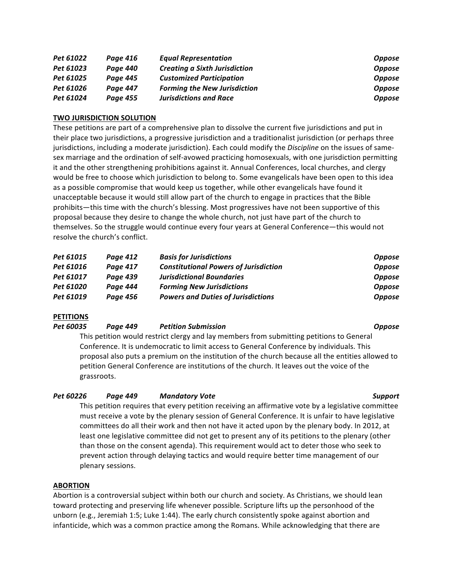| Pet 61022 | Page 416        | <b>Equal Representation</b>          | <b>Oppose</b> |
|-----------|-----------------|--------------------------------------|---------------|
| Pet 61023 | Paae 440        | <b>Creating a Sixth Jurisdiction</b> | <b>Oppose</b> |
| Pet 61025 | Page 445        | <b>Customized Participation</b>      | <b>Oppose</b> |
| Pet 61026 | <b>Page 447</b> | <b>Forming the New Jurisdiction</b>  | <b>Oppose</b> |
| Pet 61024 | Page 455        | <b>Jurisdictions and Race</b>        | <b>Oppose</b> |

#### **TWO JURISDICTION SOLUTION**

These petitions are part of a comprehensive plan to dissolve the current five jurisdictions and put in their place two jurisdictions, a progressive jurisdiction and a traditionalist jurisdiction (or perhaps three jurisdictions, including a moderate jurisdiction). Each could modify the *Discipline* on the issues of samesex marriage and the ordination of self-avowed practicing homosexuals, with one jurisdiction permitting it and the other strengthening prohibitions against it. Annual Conferences, local churches, and clergy would be free to choose which jurisdiction to belong to. Some evangelicals have been open to this idea as a possible compromise that would keep us together, while other evangelicals have found it unacceptable because it would still allow part of the church to engage in practices that the Bible prohibits—this time with the church's blessing. Most progressives have not been supportive of this proposal because they desire to change the whole church, not just have part of the church to themselves. So the struggle would continue every four years at General Conference—this would not resolve the church's conflict.

| Pet 61015 | Page 412        | <b>Basis for Jurisdictions</b>               | <b>Oppose</b> |
|-----------|-----------------|----------------------------------------------|---------------|
| Pet 61016 | <b>Page 417</b> | <b>Constitutional Powers of Jurisdiction</b> | <b>Oppose</b> |
| Pet 61017 | Page 439        | <b>Jurisdictional Boundaries</b>             | <b>Oppose</b> |
| Pet 61020 | Page 444        | <b>Forming New Jurisdictions</b>             | <b>Oppose</b> |
| Pet 61019 | Page 456        | <b>Powers and Duties of Jurisdictions</b>    | <b>Oppose</b> |

#### **PETITIONS**

#### *Pet 60035 Page 449 Petition Submission Oppose*

This petition would restrict clergy and lay members from submitting petitions to General Conference. It is undemocratic to limit access to General Conference by individuals. This proposal also puts a premium on the institution of the church because all the entities allowed to petition General Conference are institutions of the church. It leaves out the voice of the grassroots.

#### *Pet 60226 Page 449 Mandatory Vote Support*

This petition requires that every petition receiving an affirmative vote by a legislative committee must receive a vote by the plenary session of General Conference. It is unfair to have legislative committees do all their work and then not have it acted upon by the plenary body. In 2012, at least one legislative committee did not get to present any of its petitions to the plenary (other than those on the consent agenda). This requirement would act to deter those who seek to prevent action through delaying tactics and would require better time management of our plenary sessions.

#### **ABORTION**

Abortion is a controversial subject within both our church and society. As Christians, we should lean toward protecting and preserving life whenever possible. Scripture lifts up the personhood of the unborn (e.g., Jeremiah 1:5; Luke 1:44). The early church consistently spoke against abortion and infanticide, which was a common practice among the Romans. While acknowledging that there are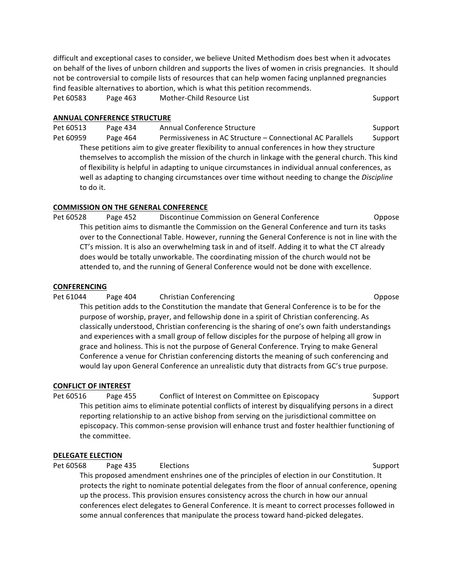difficult and exceptional cases to consider, we believe United Methodism does best when it advocates on behalf of the lives of unborn children and supports the lives of women in crisis pregnancies. It should not be controversial to compile lists of resources that can help women facing unplanned pregnancies find feasible alternatives to abortion, which is what this petition recommends.

Pet 60583 Page 463 Mother-Child Resource List Support Support

#### **ANNUAL CONFERENCE STRUCTURE**

Pet 60513 Page 434 Annual Conference Structure Content Constantine Support Pet 60959 Page 464 Permissiveness in AC Structure – Connectional AC Parallels Support These petitions aim to give greater flexibility to annual conferences in how they structure themselves to accomplish the mission of the church in linkage with the general church. This kind of flexibility is helpful in adapting to unique circumstances in individual annual conferences, as well as adapting to changing circumstances over time without needing to change the *Discipline* to do it.

### **COMMISSION ON THE GENERAL CONFERENCE**

Pet 60528 Page 452 Discontinue Commission on General Conference Coppose This petition aims to dismantle the Commission on the General Conference and turn its tasks over to the Connectional Table. However, running the General Conference is not in line with the CT's mission. It is also an overwhelming task in and of itself. Adding it to what the CT already does would be totally unworkable. The coordinating mission of the church would not be attended to, and the running of General Conference would not be done with excellence.

#### **CONFERENCING**

#### Pet 61044 Page 404 Christian Conferencing Content Conferencing Coppose

This petition adds to the Constitution the mandate that General Conference is to be for the purpose of worship, prayer, and fellowship done in a spirit of Christian conferencing. As classically understood, Christian conferencing is the sharing of one's own faith understandings and experiences with a small group of fellow disciples for the purpose of helping all grow in grace and holiness. This is not the purpose of General Conference. Trying to make General Conference a venue for Christian conferencing distorts the meaning of such conferencing and would lay upon General Conference an unrealistic duty that distracts from GC's true purpose.

#### **CONFLICT OF INTEREST**

Pet 60516 Page 455 Conflict of Interest on Committee on Episcopacy Support This petition aims to eliminate potential conflicts of interest by disqualifying persons in a direct reporting relationship to an active bishop from serving on the jurisdictional committee on episcopacy. This common-sense provision will enhance trust and foster healthier functioning of the committee.

### **DELEGATE ELECTION**

Pet 60568 Page 435 Elections Support Support

This proposed amendment enshrines one of the principles of election in our Constitution. It protects the right to nominate potential delegates from the floor of annual conference, opening up the process. This provision ensures consistency across the church in how our annual conferences elect delegates to General Conference. It is meant to correct processes followed in some annual conferences that manipulate the process toward hand-picked delegates.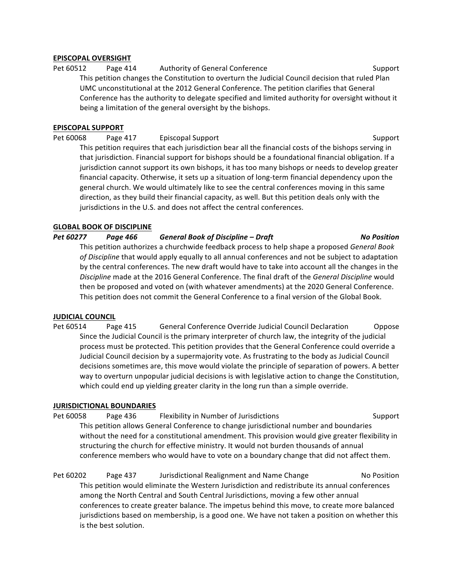### **EPISCOPAL OVERSIGHT**

Pet 60512 Page 414 Authority of General Conference Support Support This petition changes the Constitution to overturn the Judicial Council decision that ruled Plan UMC unconstitutional at the 2012 General Conference. The petition clarifies that General Conference has the authority to delegate specified and limited authority for oversight without it being a limitation of the general oversight by the bishops.

## **EPISCOPAL SUPPORT**

Pet 60068 Page 417 Episcopal Support Christian Communication Cupport Support This petition requires that each jurisdiction bear all the financial costs of the bishops serving in that jurisdiction. Financial support for bishops should be a foundational financial obligation. If a jurisdiction cannot support its own bishops, it has too many bishops or needs to develop greater financial capacity. Otherwise, it sets up a situation of long-term financial dependency upon the general church. We would ultimately like to see the central conferences moving in this same direction, as they build their financial capacity, as well. But this petition deals only with the jurisdictions in the U.S. and does not affect the central conferences.

## **GLOBAL BOOK OF DISCIPLINE**

## *Pet 60277 Page 466 General Book of Discipline – Draft No Position*

This petition authorizes a churchwide feedback process to help shape a proposed *General Book* of Discipline that would apply equally to all annual conferences and not be subject to adaptation by the central conferences. The new draft would have to take into account all the changes in the Discipline made at the 2016 General Conference. The final draft of the *General Discipline* would then be proposed and voted on (with whatever amendments) at the 2020 General Conference. This petition does not commit the General Conference to a final version of the Global Book.

### **JUDICIAL COUNCIL**

Pet 60514 Page 415 General Conference Override Judicial Council Declaration Oppose Since the Judicial Council is the primary interpreter of church law, the integrity of the judicial process must be protected. This petition provides that the General Conference could override a Judicial Council decision by a supermajority vote. As frustrating to the body as Judicial Council decisions sometimes are, this move would violate the principle of separation of powers. A better way to overturn unpopular judicial decisions is with legislative action to change the Constitution, which could end up yielding greater clarity in the long run than a simple override.

### **JURISDICTIONAL BOUNDARIES**

Pet 60058 Page 436 Flexibility in Number of Jurisdictions Support Support This petition allows General Conference to change jurisdictional number and boundaries without the need for a constitutional amendment. This provision would give greater flexibility in structuring the church for effective ministry. It would not burden thousands of annual conference members who would have to vote on a boundary change that did not affect them.

Pet 60202 Page 437 Jurisdictional Realignment and Name Change No Position This petition would eliminate the Western Jurisdiction and redistribute its annual conferences among the North Central and South Central Jurisdictions, moving a few other annual conferences to create greater balance. The impetus behind this move, to create more balanced jurisdictions based on membership, is a good one. We have not taken a position on whether this is the best solution.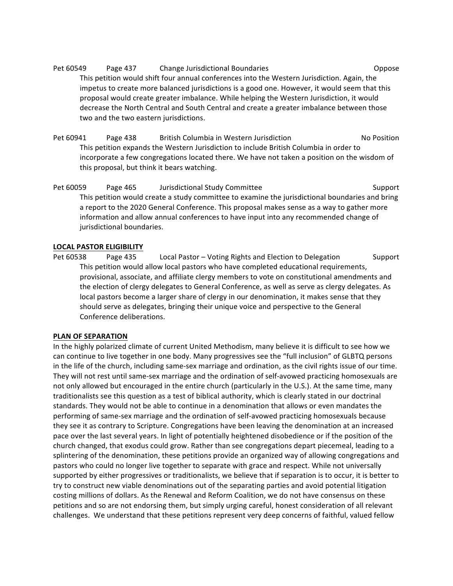Pet 60549 Page 437 Change Jurisdictional Boundaries Change oppose This petition would shift four annual conferences into the Western Jurisdiction. Again, the impetus to create more balanced jurisdictions is a good one. However, it would seem that this proposal would create greater imbalance. While helping the Western Jurisdiction, it would decrease the North Central and South Central and create a greater imbalance between those two and the two eastern jurisdictions.

Pet 60941 Page 438 British Columbia in Western Jurisdiction No Position This petition expands the Western Jurisdiction to include British Columbia in order to incorporate a few congregations located there. We have not taken a position on the wisdom of this proposal, but think it bears watching.

Pet 60059 Page 465 Jurisdictional Study Committee Support Support This petition would create a study committee to examine the jurisdictional boundaries and bring a report to the 2020 General Conference. This proposal makes sense as a way to gather more information and allow annual conferences to have input into any recommended change of jurisdictional boundaries.

## **LOCAL PASTOR ELIGIBILITY**

Pet 60538 Page 435 Local Pastor – Voting Rights and Election to Delegation Support This petition would allow local pastors who have completed educational requirements, provisional, associate, and affiliate clergy members to vote on constitutional amendments and the election of clergy delegates to General Conference, as well as serve as clergy delegates. As local pastors become a larger share of clergy in our denomination, it makes sense that they should serve as delegates, bringing their unique voice and perspective to the General Conference deliberations.

### **PLAN OF SEPARATION**

In the highly polarized climate of current United Methodism, many believe it is difficult to see how we can continue to live together in one body. Many progressives see the "full inclusion" of GLBTQ persons in the life of the church, including same-sex marriage and ordination, as the civil rights issue of our time. They will not rest until same-sex marriage and the ordination of self-avowed practicing homosexuals are not only allowed but encouraged in the entire church (particularly in the U.S.). At the same time, many traditionalists see this question as a test of biblical authority, which is clearly stated in our doctrinal standards. They would not be able to continue in a denomination that allows or even mandates the performing of same-sex marriage and the ordination of self-avowed practicing homosexuals because they see it as contrary to Scripture. Congregations have been leaving the denomination at an increased pace over the last several years. In light of potentially heightened disobedience or if the position of the church changed, that exodus could grow. Rather than see congregations depart piecemeal, leading to a splintering of the denomination, these petitions provide an organized way of allowing congregations and pastors who could no longer live together to separate with grace and respect. While not universally supported by either progressives or traditionalists, we believe that if separation is to occur, it is better to try to construct new viable denominations out of the separating parties and avoid potential litigation costing millions of dollars. As the Renewal and Reform Coalition, we do not have consensus on these petitions and so are not endorsing them, but simply urging careful, honest consideration of all relevant challenges. We understand that these petitions represent very deep concerns of faithful, valued fellow